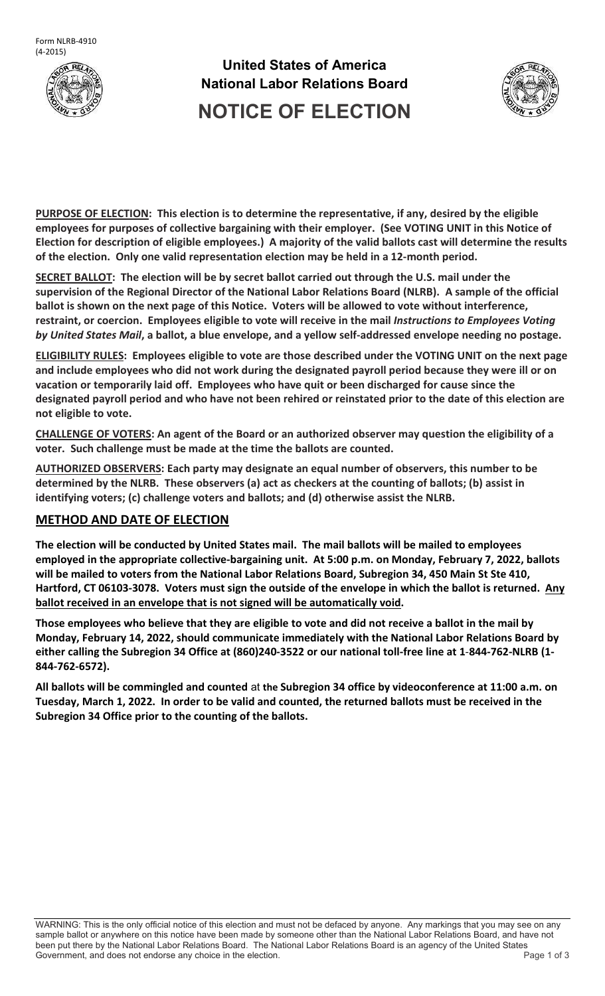

**United States of America National Labor Relations Board NOTICE OF ELECTION**



**PURPOSE OF ELECTION: This election is to determine the representative, if any, desired by the eligible employees for purposes of collective bargaining with their employer. (See VOTING UNIT in this Notice of Election for description of eligible employees.) A majority of the valid ballots cast will determine the results of the election. Only one valid representation election may be held in a 12-month period.**

**SECRET BALLOT: The election will be by secret ballot carried out through the U.S. mail under the supervision of the Regional Director of the National Labor Relations Board (NLRB). A sample of the official ballot is shown on the next page of this Notice. Voters will be allowed to vote without interference, restraint, or coercion. Employees eligible to vote will receive in the mail** *Instructions to Employees Voting by United States Mail***, a ballot, a blue envelope, and a yellow self-addressed envelope needing no postage.**

**ELIGIBILITY RULES: Employees eligible to vote are those described under the VOTING UNIT on the next page and include employees who did not work during the designated payroll period because they were ill or on vacation or temporarily laid off. Employees who have quit or been discharged for cause since the designated payroll period and who have not been rehired or reinstated prior to the date of this election are not eligible to vote.**

**CHALLENGE OF VOTERS: An agent of the Board or an authorized observer may question the eligibility of a voter. Such challenge must be made at the time the ballots are counted.**

**AUTHORIZED OBSERVERS: Each party may designate an equal number of observers, this number to be determined by the NLRB. These observers (a) act as checkers at the counting of ballots; (b) assist in identifying voters; (c) challenge voters and ballots; and (d) otherwise assist the NLRB.**

## **METHOD AND DATE OF ELECTION**

**The election will be conducted by United States mail. The mail ballots will be mailed to employees employed in the appropriate collective-bargaining unit. At 5:00 p.m. on Monday, February 7, 2022, ballots will be mailed to voters from the National Labor Relations Board, Subregion 34, 450 Main St Ste 410, Hartford, CT 06103-3078. Voters must sign the outside of the envelope in which the ballot is returned. Any ballot received in an envelope that is not signed will be automatically void.**

**Those employees who believe that they are eligible to vote and did not receive a ballot in the mail by Monday, February 14, 2022, should communicate immediately with the National Labor Relations Board by either calling the Subregion 34 Office at (860)240-3522 or our national toll-free line at 1**-**844-762-NLRB (1- 844-762-6572).**

**All ballots will be commingled and counted** at **the Subregion 34 office by videoconference at 11:00 a.m. on Tuesday, March 1, 2022. In order to be valid and counted, the returned ballots must be received in the Subregion 34 Office prior to the counting of the ballots.**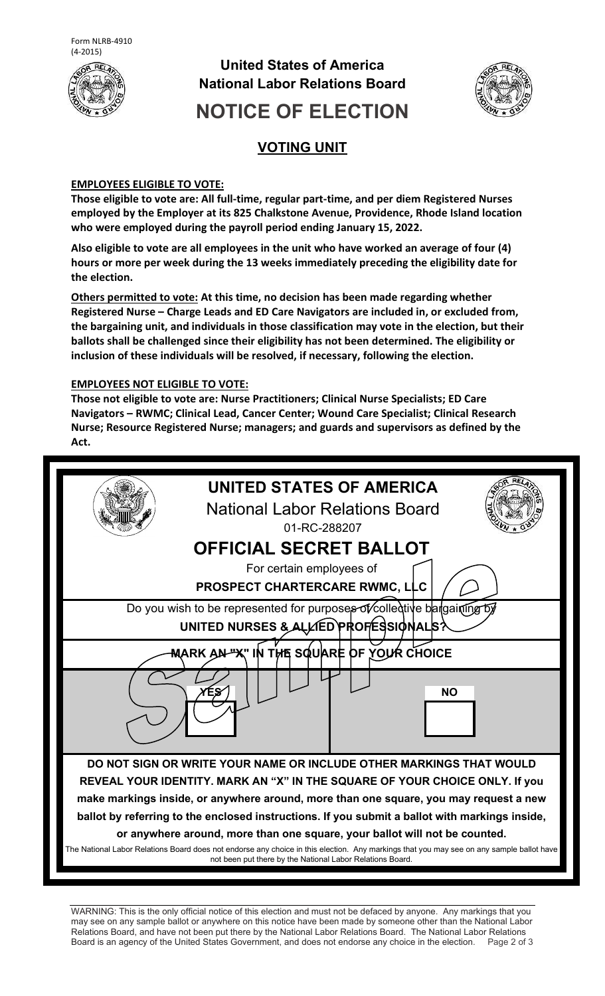

## **United States of America National Labor Relations Board**



# **NOTICE OF ELECTION**

## **VOTING UNIT**

#### **EMPLOYEES ELIGIBLE TO VOTE:**

**Those eligible to vote are: All full-time, regular part-time, and per diem Registered Nurses employed by the Employer at its 825 Chalkstone Avenue, Providence, Rhode Island location who were employed during the payroll period ending January 15, 2022.**

**Also eligible to vote are all employees in the unit who have worked an average of four (4) hours or more per week during the 13 weeks immediately preceding the eligibility date for the election.** 

**Others permitted to vote: At this time, no decision has been made regarding whether Registered Nurse – Charge Leads and ED Care Navigators are included in, or excluded from, the bargaining unit, and individuals in those classification may vote in the election, but their ballots shall be challenged since their eligibility has not been determined. The eligibility or inclusion of these individuals will be resolved, if necessary, following the election.**

#### **EMPLOYEES NOT ELIGIBLE TO VOTE:**

**Those not eligible to vote are: Nurse Practitioners; Clinical Nurse Specialists; ED Care Navigators – RWMC; Clinical Lead, Cancer Center; Wound Care Specialist; Clinical Research Nurse; Resource Registered Nurse; managers; and guards and supervisors as defined by the Act.** 



WARNING: This is the only official notice of this election and must not be defaced by anyone. Any markings that you may see on any sample ballot or anywhere on this notice have been made by someone other than the National Labor Relations Board, and have not been put there by the National Labor Relations Board. The National Labor Relations Board is an agency of the United States Government, and does not endorse any choice in the election. Page 2 of 3